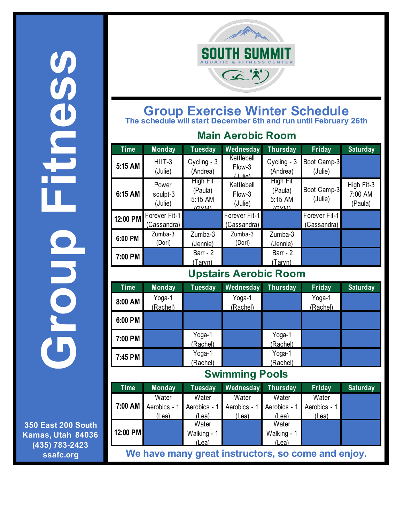**Group Fitness** 0090 DONO

**350 East 200 South Kamas, Utah 84036 (435) 783-2423 ssafc.org**



## **Group Exercise Winter Schedule The schedule will start December 6th and run until February 26th**

| <b>Main Aerobic Room</b>     |                              |                                         |                                 |                                         |                              |                                  |  |  |
|------------------------------|------------------------------|-----------------------------------------|---------------------------------|-----------------------------------------|------------------------------|----------------------------------|--|--|
| <b>Time</b>                  | <b>Monday</b>                | <b>Tuesday</b>                          | Wednesday                       | <b>Thursday</b>                         | Friday                       | <b>Saturday</b>                  |  |  |
| 5:15 AM                      | HIIT-3<br>(Julie)            | Cycling - 3<br>(Andrea)                 | Kettlebell<br>Flow-3<br>(مالسل) | Cycling - 3<br>(Andrea)                 | Boot Camp-3<br>(Julie)       |                                  |  |  |
| 6:15 AM                      | Power<br>sculpt-3<br>(Julie) | High Fit<br>(Paula)<br>5:15 AM<br>(CVM) | Kettlebell<br>Flow-3<br>(Julie) | High Fit<br>(Paula)<br>5:15 AM<br>(CVM) | Boot Camp-3<br>(Julie)       | High Fit-3<br>7:00 AM<br>(Paula) |  |  |
| 12:00 PM                     | Forever Fit-1<br>(Cassandra) |                                         | Forever Fit-1<br>(Cassandra)    |                                         | Forever Fit-1<br>(Cassandra) |                                  |  |  |
| 6:00 PM                      | Zumba-3<br>(Dori)            | Zumba-3<br>(Jennie)                     | Zumba-3<br>(Dori)               | Zumba-3<br>(Jennie)                     |                              |                                  |  |  |
| 7:00 PM                      |                              | Barr - 2<br>(Taryn)                     |                                 | Barr - 2<br>(Taryn)                     |                              |                                  |  |  |
| <b>Upstairs Aerobic Room</b> |                              |                                         |                                 |                                         |                              |                                  |  |  |
| <b>Time</b>                  | <b>Monday</b>                | <b>Tuesday</b>                          | Wednesday                       | <b>Thursday</b>                         | Friday                       | <b>Saturday</b>                  |  |  |
| 8:00 AM                      | Yoga-1<br>(Rachel)           |                                         | Yoga-1<br>(Rachel)              |                                         | Yoga-1<br>(Rachel)           |                                  |  |  |
| 6:00 PM                      |                              |                                         |                                 |                                         |                              |                                  |  |  |

**Swimming Pools**

Yoga-1 (Rachel)

Yoga-1

(Rachel)

**7:00 PM** Yoga-1

**7:45 PM** Yoga-1

(Rachel)

(Rachel)

| <b>Time</b>                                        | <b>Monday</b> | Tuesday                   | Wednesday Thursday |              | Friday       | <b>Saturday</b> |  |
|----------------------------------------------------|---------------|---------------------------|--------------------|--------------|--------------|-----------------|--|
| 7:00 AM                                            | Water         | Water                     | Water              | Water        | Water        |                 |  |
|                                                    | Aerobics - 1  | Aerobics - 1 Aerobics - 1 |                    | Aerobics - 1 | Aerobics - 1 |                 |  |
|                                                    | (Lea)         | (Lea)                     | (Lea)              | (Lea)        | (Lea)        |                 |  |
| 12:00 PM                                           |               | Water                     |                    | Water        |              |                 |  |
|                                                    |               | Walking - 1               |                    | Walking - 1  |              |                 |  |
|                                                    |               | (Lea)                     |                    | (Lea)        |              |                 |  |
| We have many great instructors, so come and enjoy. |               |                           |                    |              |              |                 |  |